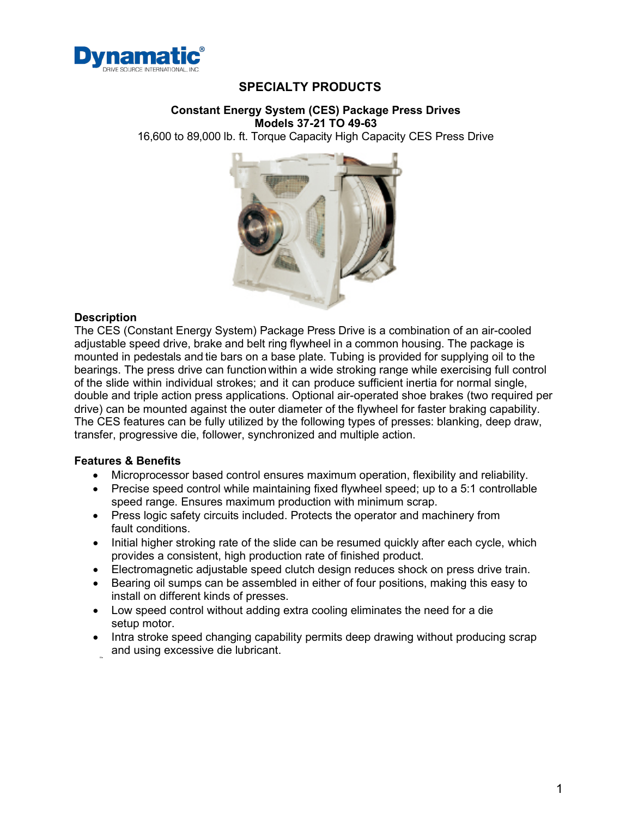

### **SPECIALTY PRODUCTS**

#### **Constant Energy System (CES) Package Press Drives Models 37-21 TO 49-63**

16,600 to 89,000 lb. ft. Torque Capacity High Capacity CES Press Drive



#### **Description**

The CES (Constant Energy System) Package Press Drive is a combination of an air-cooled adjustable speed drive, brake and belt ring flywheel in a common housing. The package is mounted in pedestals and tie bars on a base plate. Tubing is provided for supplying oil to the bearings. The press drive can function within a wide stroking range while exercising full control of the slide within individual strokes; and it can produce sufficient inertia for normal single, double and triple action press applications. Optional air-operated shoe brakes (two required per drive) can be mounted against the outer diameter of the flywheel for faster braking capability. The CES features can be fully utilized by the following types of presses: blanking, deep draw, transfer, progressive die, follower, synchronized and multiple action.

### **Features & Benefits**

- Microprocessor based control ensures maximum operation, flexibility and reliability.
- Precise speed control while maintaining fixed flywheel speed; up to a 5:1 controllable speed range. Ensures maximum production with minimum scrap.
- Press logic safety circuits included. Protects the operator and machinery from fault conditions.
- Initial higher stroking rate of the slide can be resumed quickly after each cycle, which provides a consistent, high production rate of finished product.
- Electromagnetic adjustable speed clutch design reduces shock on press drive train.
- Bearing oil sumps can be assembled in either of four positions, making this easy to install on different kinds of presses.
- Low speed control without adding extra cooling eliminates the need for a die setup motor.
- Intra stroke speed changing capability permits deep drawing without producing scrap and using excessive die lubricant.